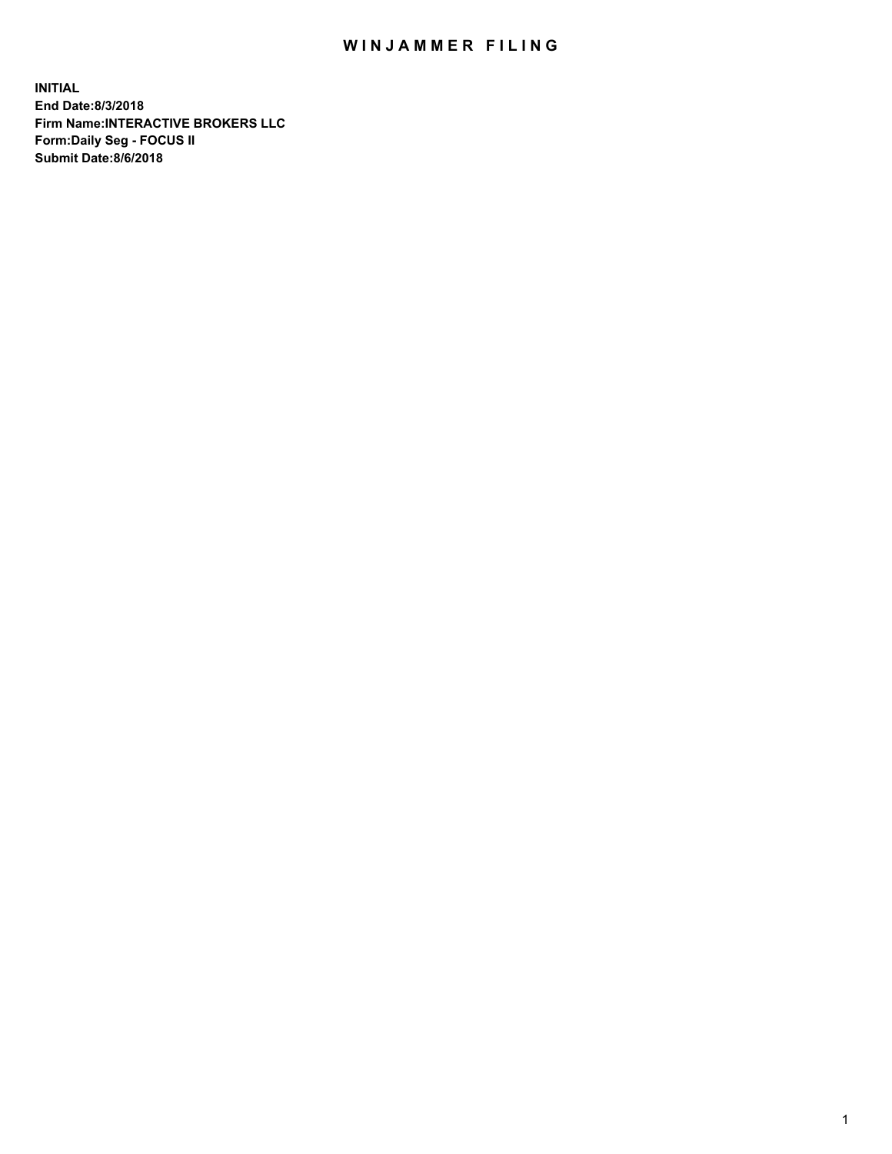## WIN JAMMER FILING

**INITIAL End Date:8/3/2018 Firm Name:INTERACTIVE BROKERS LLC Form:Daily Seg - FOCUS II Submit Date:8/6/2018**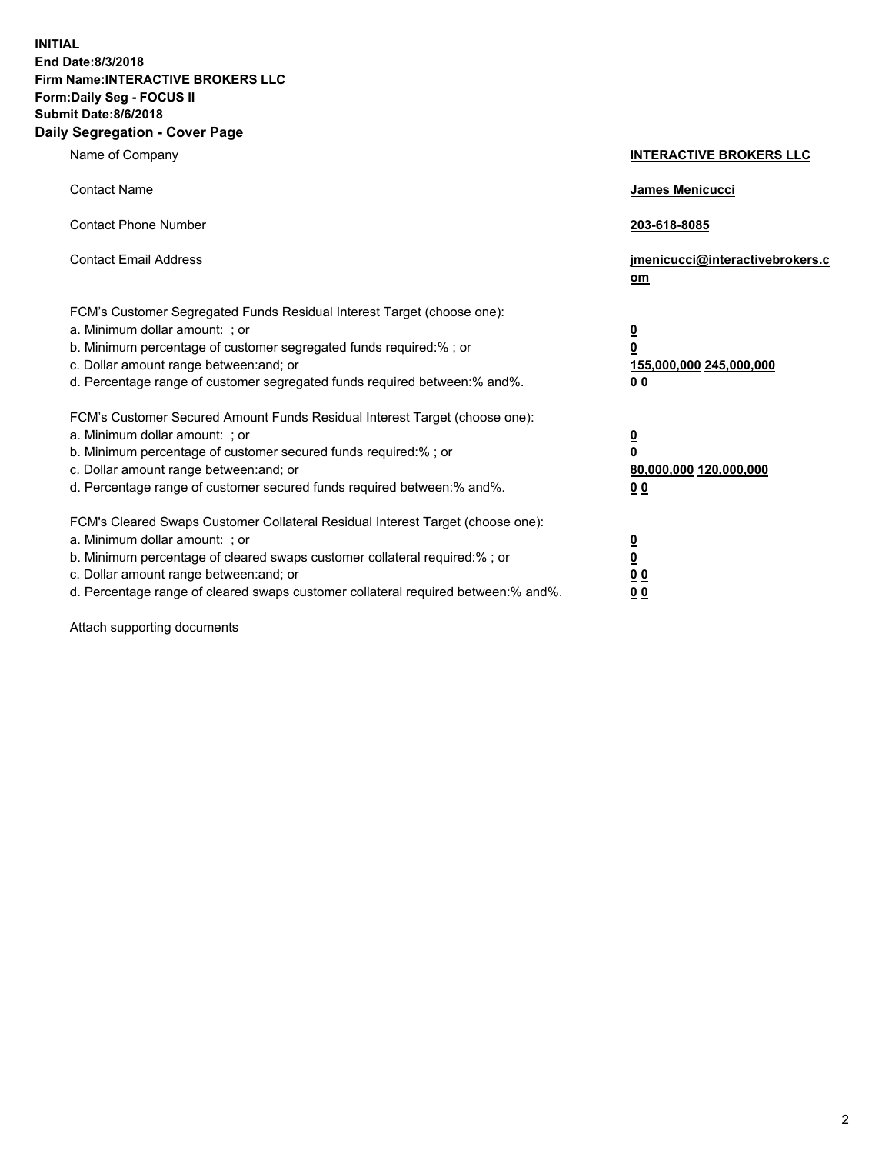**INITIAL End Date:8/3/2018 Firm Name:INTERACTIVE BROKERS LLC Form:Daily Seg - FOCUS II Submit Date:8/6/2018 Daily Segregation - Cover Page**

| Name of Company                                                                                                                                                                                                                                                                                                                | <b>INTERACTIVE BROKERS LLC</b>                                                                  |
|--------------------------------------------------------------------------------------------------------------------------------------------------------------------------------------------------------------------------------------------------------------------------------------------------------------------------------|-------------------------------------------------------------------------------------------------|
| <b>Contact Name</b>                                                                                                                                                                                                                                                                                                            | James Menicucci                                                                                 |
| <b>Contact Phone Number</b>                                                                                                                                                                                                                                                                                                    | 203-618-8085                                                                                    |
| <b>Contact Email Address</b>                                                                                                                                                                                                                                                                                                   | jmenicucci@interactivebrokers.c<br>$om$                                                         |
| FCM's Customer Segregated Funds Residual Interest Target (choose one):<br>a. Minimum dollar amount: ; or<br>b. Minimum percentage of customer segregated funds required:% ; or<br>c. Dollar amount range between: and; or<br>d. Percentage range of customer segregated funds required between:% and%.                         | $\overline{\mathbf{0}}$<br>$\overline{\mathbf{0}}$<br>155,000,000 245,000,000<br>0 <sub>0</sub> |
| FCM's Customer Secured Amount Funds Residual Interest Target (choose one):<br>a. Minimum dollar amount: ; or<br>b. Minimum percentage of customer secured funds required:%; or<br>c. Dollar amount range between: and; or<br>d. Percentage range of customer secured funds required between:% and%.                            | $\overline{\mathbf{0}}$<br>0<br>80,000,000 120,000,000<br>0 <sub>0</sub>                        |
| FCM's Cleared Swaps Customer Collateral Residual Interest Target (choose one):<br>a. Minimum dollar amount: ; or<br>b. Minimum percentage of cleared swaps customer collateral required:% ; or<br>c. Dollar amount range between: and; or<br>d. Percentage range of cleared swaps customer collateral required between:% and%. | $\frac{0}{0}$<br>0 <sub>0</sub><br>0 <sub>0</sub>                                               |

Attach supporting documents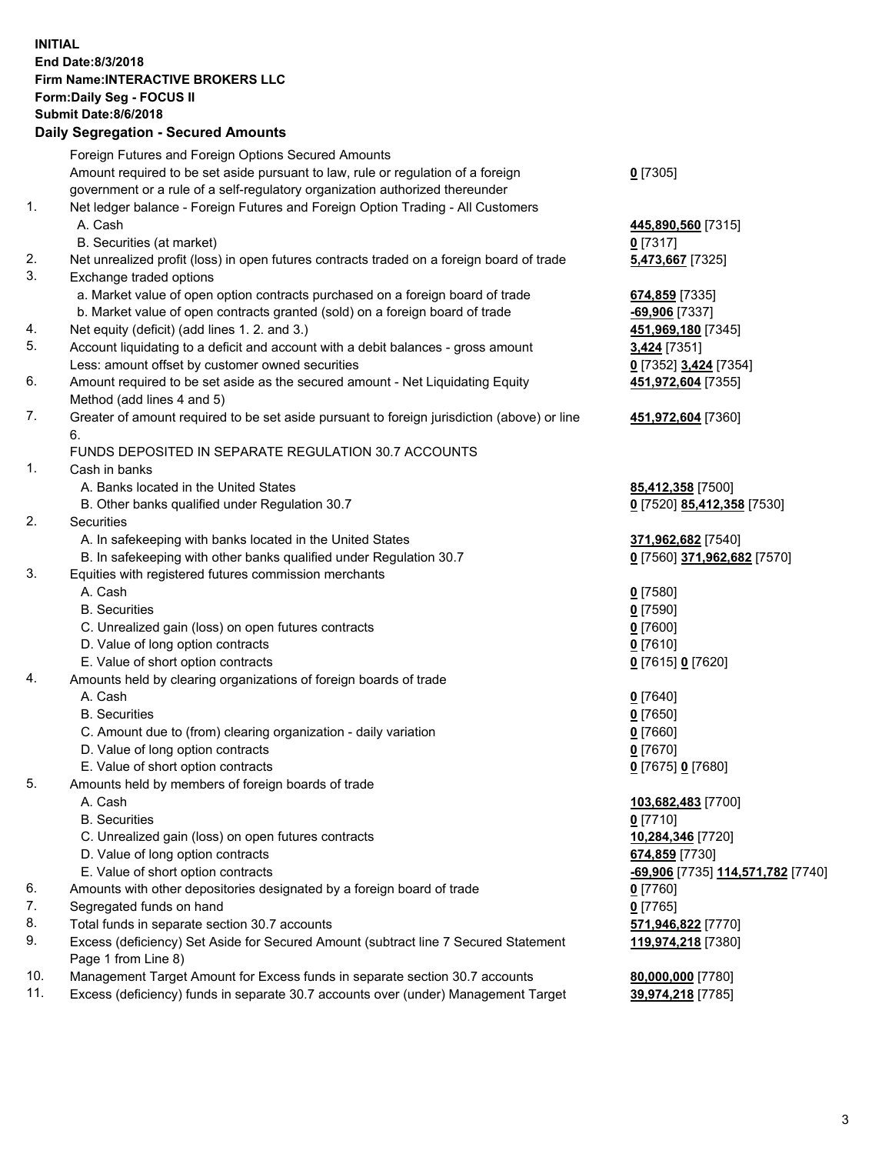## **INITIAL End Date:8/3/2018 Firm Name:INTERACTIVE BROKERS LLC Form:Daily Seg - FOCUS II Submit Date:8/6/2018 Daily Segregation - Secured Amounts**

|     | Daily Jegiegation - Jeculeu Aniounts                                                                       |                                   |
|-----|------------------------------------------------------------------------------------------------------------|-----------------------------------|
|     | Foreign Futures and Foreign Options Secured Amounts                                                        |                                   |
|     | Amount required to be set aside pursuant to law, rule or regulation of a foreign                           | $0$ [7305]                        |
|     | government or a rule of a self-regulatory organization authorized thereunder                               |                                   |
| 1.  | Net ledger balance - Foreign Futures and Foreign Option Trading - All Customers                            |                                   |
|     | A. Cash                                                                                                    | 445,890,560 [7315]                |
|     | B. Securities (at market)                                                                                  | $0$ [7317]                        |
| 2.  | Net unrealized profit (loss) in open futures contracts traded on a foreign board of trade                  | 5,473,667 [7325]                  |
| 3.  | Exchange traded options                                                                                    |                                   |
|     | a. Market value of open option contracts purchased on a foreign board of trade                             | 674,859 [7335]                    |
|     | b. Market value of open contracts granted (sold) on a foreign board of trade                               | $-69,906$ [7337]                  |
| 4.  | Net equity (deficit) (add lines 1.2. and 3.)                                                               | 451,969,180 [7345]                |
| 5.  | Account liquidating to a deficit and account with a debit balances - gross amount                          | 3,424 [7351]                      |
|     | Less: amount offset by customer owned securities                                                           | 0 [7352] 3,424 [7354]             |
| 6.  | Amount required to be set aside as the secured amount - Net Liquidating Equity                             | 451,972,604 [7355]                |
|     | Method (add lines 4 and 5)                                                                                 |                                   |
| 7.  | Greater of amount required to be set aside pursuant to foreign jurisdiction (above) or line                | 451,972,604 [7360]                |
|     | 6.                                                                                                         |                                   |
|     | FUNDS DEPOSITED IN SEPARATE REGULATION 30.7 ACCOUNTS                                                       |                                   |
| 1.  | Cash in banks                                                                                              |                                   |
|     | A. Banks located in the United States                                                                      | 85,412,358 [7500]                 |
|     | B. Other banks qualified under Regulation 30.7                                                             | 0 [7520] 85,412,358 [7530]        |
| 2.  | Securities                                                                                                 |                                   |
|     | A. In safekeeping with banks located in the United States                                                  | 371,962,682 [7540]                |
|     | B. In safekeeping with other banks qualified under Regulation 30.7                                         | 0 [7560] 371,962,682 [7570]       |
| 3.  | Equities with registered futures commission merchants                                                      |                                   |
|     | A. Cash                                                                                                    | $0$ [7580]                        |
|     | <b>B.</b> Securities                                                                                       | $0$ [7590]                        |
|     | C. Unrealized gain (loss) on open futures contracts                                                        | $0$ [7600]                        |
|     | D. Value of long option contracts                                                                          | $0$ [7610]                        |
|     | E. Value of short option contracts                                                                         | 0 [7615] 0 [7620]                 |
| 4.  | Amounts held by clearing organizations of foreign boards of trade                                          |                                   |
|     | A. Cash                                                                                                    | $0$ [7640]                        |
|     | <b>B.</b> Securities                                                                                       | $0$ [7650]                        |
|     | C. Amount due to (from) clearing organization - daily variation                                            | $0$ [7660]                        |
|     | D. Value of long option contracts                                                                          | $0$ [7670]                        |
|     | E. Value of short option contracts                                                                         | 0 [7675] 0 [7680]                 |
| 5.  | Amounts held by members of foreign boards of trade                                                         |                                   |
|     | A. Cash                                                                                                    | 103,682,483 [7700]                |
|     | <b>B.</b> Securities                                                                                       | $0$ [7710]                        |
|     | C. Unrealized gain (loss) on open futures contracts                                                        | 10,284,346 [7720]                 |
|     | D. Value of long option contracts                                                                          | 674,859 [7730]                    |
|     | E. Value of short option contracts                                                                         | -69,906 [7735] 114,571,782 [7740] |
| 6.  | Amounts with other depositories designated by a foreign board of trade                                     | 0 [7760]                          |
| 7.  | Segregated funds on hand                                                                                   | $0$ [7765]                        |
| 8.  | Total funds in separate section 30.7 accounts                                                              | 571,946,822 [7770]                |
| 9.  | Excess (deficiency) Set Aside for Secured Amount (subtract line 7 Secured Statement<br>Page 1 from Line 8) | 119,974,218 [7380]                |
| 10. | Management Target Amount for Excess funds in separate section 30.7 accounts                                | 80,000,000 [7780]                 |
| 11. | Excess (deficiency) funds in separate 30.7 accounts over (under) Management Target                         | 39,974,218 [7785]                 |
|     |                                                                                                            |                                   |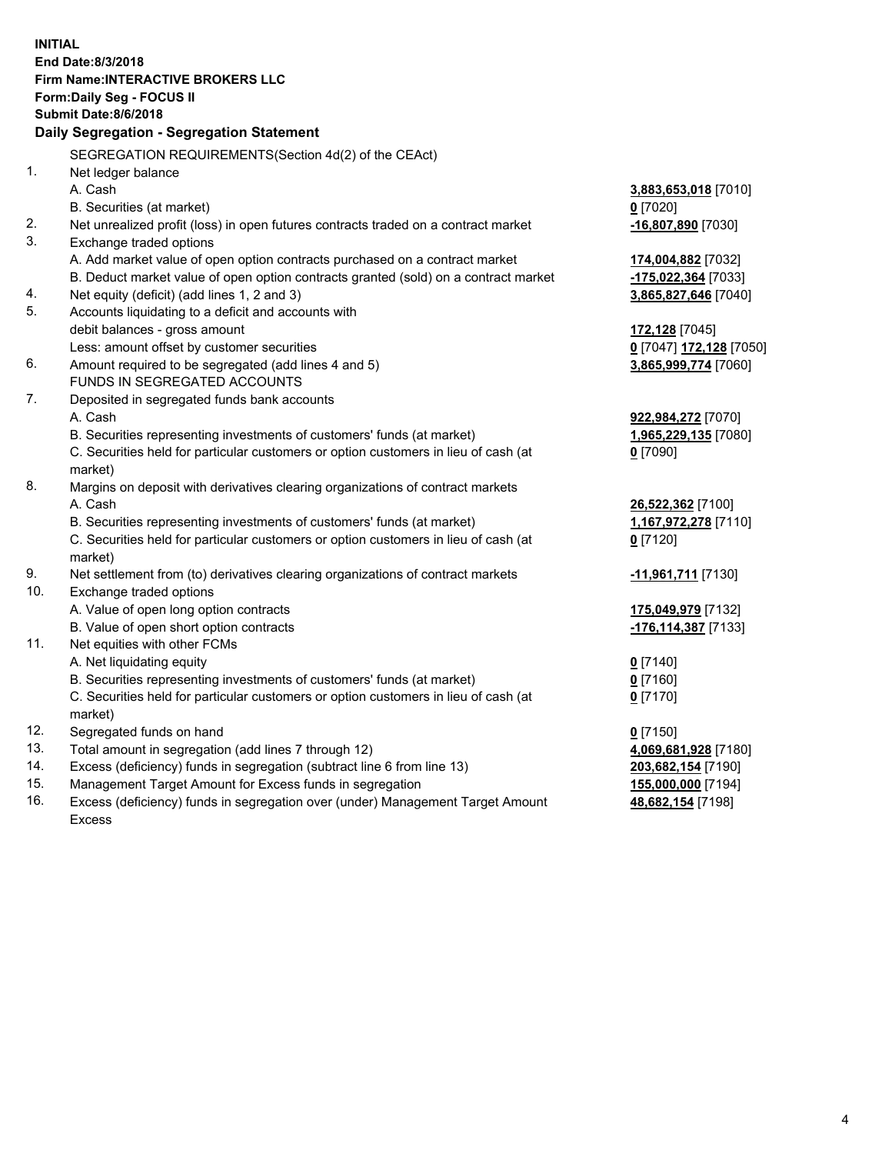|            | <b>INITIAL</b>                                                                      |                         |
|------------|-------------------------------------------------------------------------------------|-------------------------|
|            | End Date: 8/3/2018                                                                  |                         |
|            | <b>Firm Name:INTERACTIVE BROKERS LLC</b>                                            |                         |
|            | Form: Daily Seg - FOCUS II                                                          |                         |
|            | <b>Submit Date: 8/6/2018</b>                                                        |                         |
|            | Daily Segregation - Segregation Statement                                           |                         |
|            | SEGREGATION REQUIREMENTS(Section 4d(2) of the CEAct)                                |                         |
| 1.         | Net ledger balance                                                                  |                         |
|            | A. Cash                                                                             | 3,883,653,018 [7010]    |
|            | B. Securities (at market)                                                           | $0$ [7020]              |
| 2.         | Net unrealized profit (loss) in open futures contracts traded on a contract market  | -16,807,890 [7030]      |
| 3.         | Exchange traded options                                                             |                         |
|            | A. Add market value of open option contracts purchased on a contract market         | 174,004,882 [7032]      |
|            | B. Deduct market value of open option contracts granted (sold) on a contract market | -175,022,364 [7033]     |
| 4.         | Net equity (deficit) (add lines 1, 2 and 3)                                         | 3,865,827,646 [7040]    |
| 5.         | Accounts liquidating to a deficit and accounts with                                 |                         |
|            | debit balances - gross amount                                                       | 172,128 [7045]          |
|            | Less: amount offset by customer securities                                          | 0 [7047] 172,128 [7050] |
| 6.         | Amount required to be segregated (add lines 4 and 5)                                | 3,865,999,774 [7060]    |
|            | FUNDS IN SEGREGATED ACCOUNTS                                                        |                         |
| 7.         | Deposited in segregated funds bank accounts                                         |                         |
|            | A. Cash                                                                             | 922,984,272 [7070]      |
|            | B. Securities representing investments of customers' funds (at market)              | 1,965,229,135 [7080]    |
|            | C. Securities held for particular customers or option customers in lieu of cash (at | $0$ [7090]              |
|            | market)                                                                             |                         |
| 8.         | Margins on deposit with derivatives clearing organizations of contract markets      |                         |
|            | A. Cash                                                                             | 26,522,362 [7100]       |
|            | B. Securities representing investments of customers' funds (at market)              | 1,167,972,278 [7110]    |
|            | C. Securities held for particular customers or option customers in lieu of cash (at | $0$ [7120]              |
|            | market)                                                                             |                         |
| 9.         | Net settlement from (to) derivatives clearing organizations of contract markets     | -11,961,711 [7130]      |
| 10.        | Exchange traded options                                                             |                         |
|            | A. Value of open long option contracts                                              | 175,049,979 [7132]      |
|            | B. Value of open short option contracts                                             | -176,114,387 [7133]     |
| 11.        | Net equities with other FCMs                                                        |                         |
|            | A. Net liquidating equity                                                           | $0$ [7140]              |
|            | B. Securities representing investments of customers' funds (at market)              | $0$ [7160]              |
|            | C. Securities held for particular customers or option customers in lieu of cash (at | $0$ [7170]              |
|            | market)                                                                             |                         |
| 12.        | Segregated funds on hand                                                            | $0$ [7150]              |
| 13.        | Total amount in segregation (add lines 7 through 12)                                | 4,069,681,928 [7180]    |
| 14.<br>15. | Excess (deficiency) funds in segregation (subtract line 6 from line 13)             | 203,682,154 [7190]      |
| 16.        | Management Target Amount for Excess funds in segregation                            | 155,000,000 [7194]      |
|            | Excess (deficiency) funds in segregation over (under) Management Target Amount      | 48,682,154 [7198]       |

16. Excess (deficiency) funds in segregation over (under) Management Target Amount Excess

4